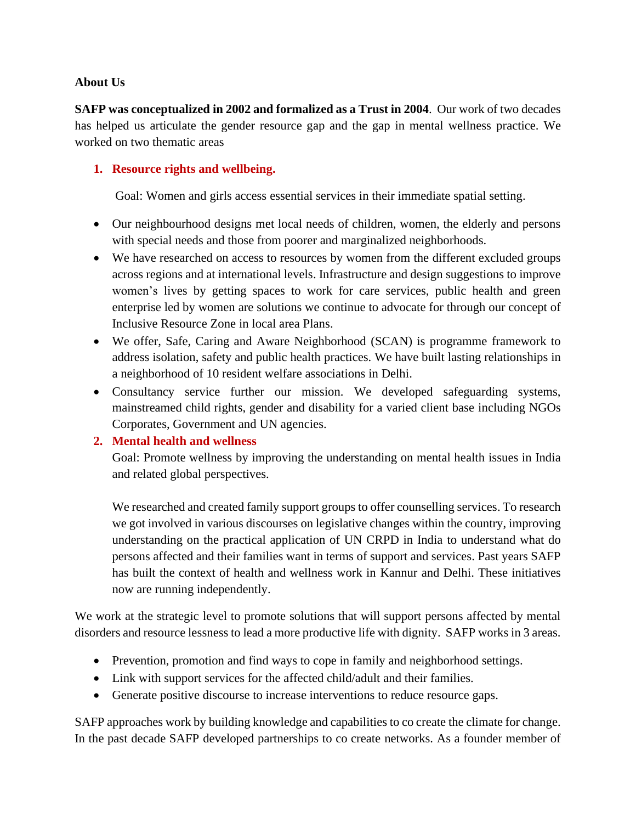### **About Us**

**SAFP was conceptualized in 2002 and formalized as a Trust in 2004**. Our work of two decades has helped us articulate the gender resource gap and the gap in mental wellness practice. We worked on two thematic areas

# **1. Resource rights and wellbeing.**

Goal: Women and girls access essential services in their immediate spatial setting.

- Our neighbourhood designs met local needs of children, women, the elderly and persons with special needs and those from poorer and marginalized neighborhoods.
- We have researched on access to resources by women from the different excluded groups across regions and at international levels. Infrastructure and design suggestions to improve women's lives by getting spaces to work for care services, public health and green enterprise led by women are solutions we continue to advocate for through our concept of Inclusive Resource Zone in local area Plans.
- We offer, Safe, Caring and Aware Neighborhood (SCAN) is programme framework to address isolation, safety and public health practices. We have built lasting relationships in a neighborhood of 10 resident welfare associations in Delhi.
- Consultancy service further our mission. We developed safeguarding systems, mainstreamed child rights, gender and disability for a varied client base including NGOs Corporates, Government and UN agencies.

# **2. Mental health and wellness**

Goal: Promote wellness by improving the understanding on mental health issues in India and related global perspectives.

We researched and created family support groups to offer counselling services. To research we got involved in various discourses on legislative changes within the country, improving understanding on the practical application of UN CRPD in India to understand what do persons affected and their families want in terms of support and services. Past years SAFP has built the context of health and wellness work in Kannur and Delhi. These initiatives now are running independently.

We work at the strategic level to promote solutions that will support persons affected by mental disorders and resource lessness to lead a more productive life with dignity. SAFP works in 3 areas.

- Prevention, promotion and find ways to cope in family and neighborhood settings.
- Link with support services for the affected child/adult and their families.
- Generate positive discourse to increase interventions to reduce resource gaps.

SAFP approaches work by building knowledge and capabilities to co create the climate for change. In the past decade SAFP developed partnerships to co create networks. As a founder member of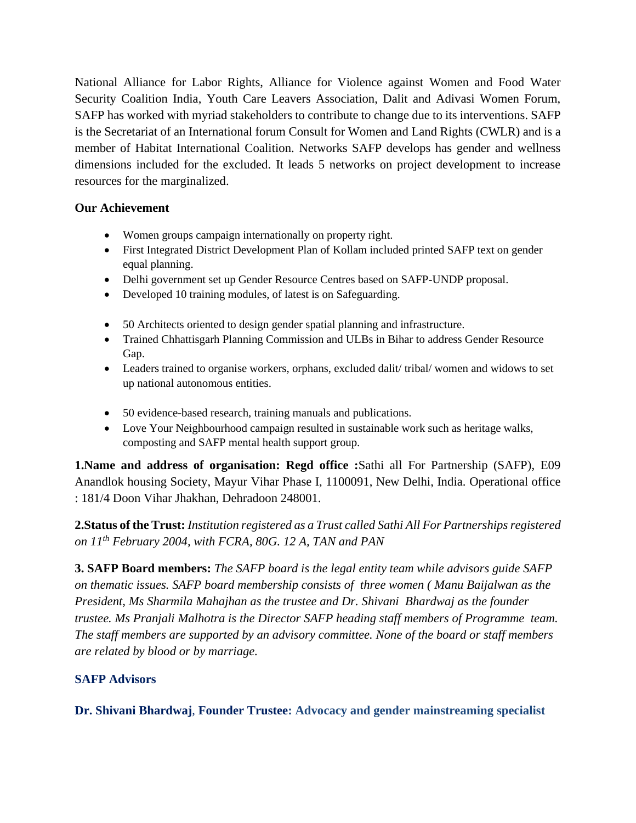National Alliance for Labor Rights, Alliance for Violence against Women and Food Water Security Coalition India, Youth Care Leavers Association, Dalit and Adivasi Women Forum, SAFP has worked with myriad stakeholders to contribute to change due to its interventions. SAFP is the Secretariat of an International forum Consult for Women and Land Rights (CWLR) and is a member of Habitat International Coalition. Networks SAFP develops has gender and wellness dimensions included for the excluded. It leads 5 networks on project development to increase resources for the marginalized.

# **Our Achievement**

- Women groups campaign internationally on property right.
- First Integrated District Development Plan of Kollam included printed SAFP text on gender equal planning.
- Delhi government set up Gender Resource Centres based on SAFP-UNDP proposal.
- Developed 10 training modules, of latest is on Safeguarding.
- 50 Architects oriented to design gender spatial planning and infrastructure.
- Trained Chhattisgarh Planning Commission and ULBs in Bihar to address Gender Resource Gap.
- Leaders trained to organise workers, orphans, excluded dalit/ tribal/ women and widows to set up national autonomous entities.
- 50 evidence-based research, training manuals and publications.
- Love Your Neighbourhood campaign resulted in sustainable work such as heritage walks, composting and SAFP mental health support group.

**1.Name and address of organisation: Regd office :**Sathi all For Partnership (SAFP), E09 Anandlok housing Society, Mayur Vihar Phase I, 1100091, New Delhi, India. Operational office : 181/4 Doon Vihar Jhakhan, Dehradoon 248001.

**2.Status of the Trust:** *Institution registered as a Trust called Sathi All For Partnerships registered on 11th February 2004, with FCRA, 80G. 12 A, TAN and PAN* 

**3. SAFP Board members:** *The SAFP board is the legal entity team while advisors guide SAFP on thematic issues. SAFP board membership consists of three women ( Manu Baijalwan as the President, Ms Sharmila Mahajhan as the trustee and Dr. Shivani Bhardwaj as the founder trustee. Ms Pranjali Malhotra is the Director SAFP heading staff members of Programme team. The staff members are supported by an advisory committee. None of the board or staff members are related by blood or by marriage.*

# **SAFP Advisors**

**Dr. Shivani Bhardwaj**, **Founder Trustee: Advocacy and gender mainstreaming specialist**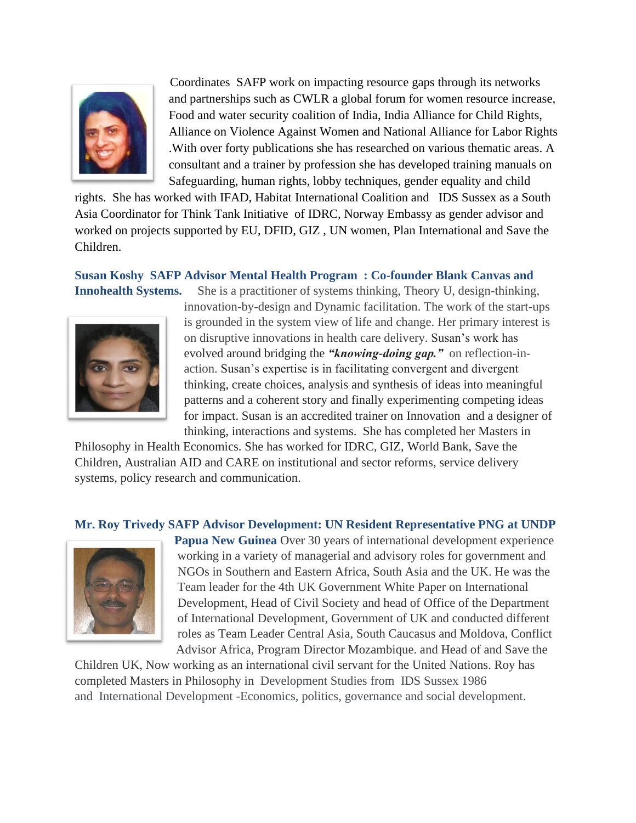

Coordinates SAFP work on impacting resource gaps through its networks and partnerships such as CWLR a global forum for women resource increase, Food and water security coalition of India, India Alliance for Child Rights, Alliance on Violence Against Women and National Alliance for Labor Rights .With over forty publications she has researched on various thematic areas. A consultant and a trainer by profession she has developed training manuals on Safeguarding, human rights, lobby techniques, gender equality and child

rights. She has worked with IFAD, Habitat International Coalition and IDS Sussex as a South Asia Coordinator for Think Tank Initiative of IDRC, Norway Embassy as gender advisor and worked on projects supported by EU, DFID, GIZ , UN women, Plan International and Save the Children.

# **Susan Koshy SAFP Advisor Mental Health Program : Co-founder Blank Canvas and Innohealth Systems.** She is a practitioner of systems thinking, Theory U, design-thinking,



innovation-by-design and Dynamic facilitation. The work of the start-ups is grounded in the system view of life and change. Her primary interest is on disruptive innovations in health care delivery. Susan's work has evolved around bridging the *"knowing-doing gap."* on reflection-inaction. Susan's expertise is in facilitating convergent and divergent thinking, create choices, analysis and synthesis of ideas into meaningful patterns and a coherent story and finally experimenting competing ideas for impact. Susan is an accredited trainer on Innovation and a designer of thinking, interactions and systems. She has completed her Masters in

Philosophy in Health Economics. She has worked for IDRC, GIZ, World Bank, Save the Children, Australian AID and CARE on institutional and sector reforms, service delivery systems, policy research and communication.

#### **Mr. Roy Trivedy SAFP Advisor Development: UN Resident Representative PNG at UNDP**



**Papua New Guinea** Over 30 years of international development experience working in a variety of managerial and advisory roles for government and NGOs in Southern and Eastern Africa, South Asia and the UK. He was the Team leader for the 4th UK Government White Paper on International Development, Head of Civil Society and head of Office of the Department of International Development, Government of UK and conducted different roles as Team Leader Central Asia, South Caucasus and Moldova, Conflict Advisor Africa, Program Director Mozambique. and Head of and Save the

Children UK, Now working as an international civil servant for the United Nations. Roy has completed Masters in Philosophy in Development Studies from IDS Sussex 1986 and International [Development](https://www.linkedin.com/edu/fos?id=100993&trk=prof-edu-field_of_study) -Economics, [politics,](https://www.linkedin.com/edu/fos?id=100990&trk=prof-edu-field_of_study) governance and social [development.](https://www.linkedin.com/edu/fos?id=101001&trk=prof-edu-field_of_study)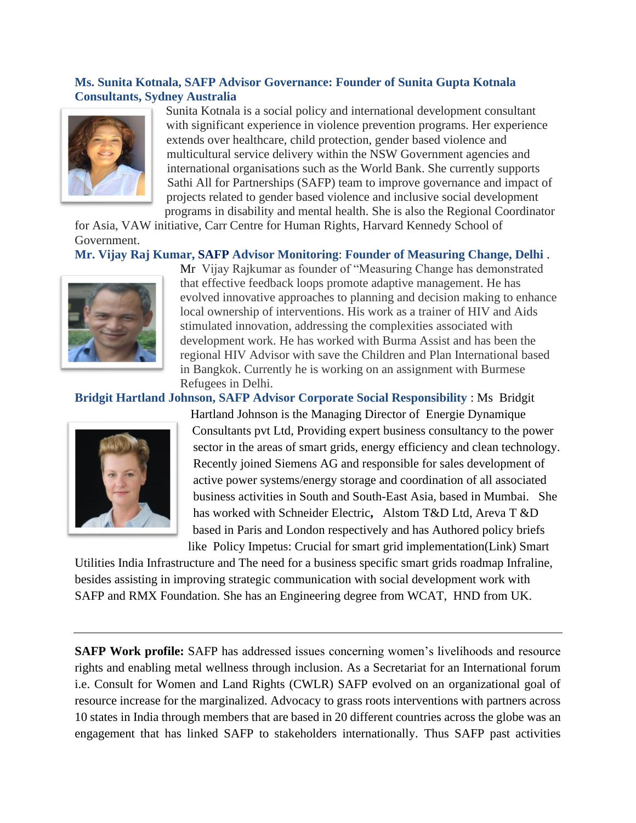# **Ms. Sunita Kotnala, SAFP Advisor Governance: Founder of Sunita Gupta Kotnala Consultants, Sydney Australia**



Sunita Kotnala is a social policy and international development consultant with significant experience in violence prevention programs. Her experience extends over healthcare, child protection, gender based violence and multicultural service delivery within the NSW Government agencies and international organisations such as the World Bank. She currently supports Sathi All for Partnerships (SAFP) team to improve governance and impact of projects related to gender based violence and inclusive social development programs in disability and mental health. She is also the Regional Coordinator

for Asia, VAW initiative, Carr Centre for Human Rights, Harvard Kennedy School of Government.

# **Mr. Vijay Raj Kumar, SAFP Advisor Monitoring**: **Founder of Measuring Change, Delhi** .



Mr Vijay Rajkumar as founder of "Measuring Change has demonstrated that effective feedback loops promote adaptive management. He has evolved innovative approaches to planning and decision making to enhance local ownership of interventions. His work as a trainer of HIV and Aids stimulated innovation, addressing the complexities associated with development work. He has worked with Burma Assist and has been the regional HIV Advisor with save the Children and Plan International based in Bangkok. Currently he is working on an assignment with Burmese Refugees in Delhi.

### **Bridgit Hartland Johnson, SAFP Advisor Corporate Social Responsibility** : Ms Bridgit



Hartland Johnson is the [Managing](https://www.linkedin.com/vsearch/p?title=Managing+Director&trk=prof-exp-title) Director of Energie [Dynamique](https://www.linkedin.com/vsearch/p?company=Energie+Dynamique+Consultants+pvt+Ltd&trk=prof-exp-company-name) [Consultants](https://www.linkedin.com/vsearch/p?company=Energie+Dynamique+Consultants+pvt+Ltd&trk=prof-exp-company-name) pvt Ltd, Providing expert business consultancy to the power sector in the areas of smart grids, energy efficiency and clean technology. Recently joined Siemens AG and responsible for sales development of active power systems/energy storage and coordination of all associated business activities in South and South-East Asia, based in Mumbai. She has worked with [Schneider](https://www.linkedin.com/company/2329?trk=prof-exp-company-name) Electric**,** [Alstom](https://www.linkedin.com/vsearch/p?company=Alstom+T%26D+Ltd&trk=prof-exp-company-name) T&D Ltd, Areva T &D based in Paris and London respectively and has Authored policy briefs like Policy Impetus: Crucial for smart grid [implementation\(Link\)](https://www.linkedin.com/redir/redirect?url=http%3A%2F%2Fwww%2Eindiainfrastructure%2Ecom%2Fmags%2Ehtml&urlhash=tt55&trk=prof-publication-title-link) Smart

Utilities India Infrastructure and The need for a business specific smart grids roadmap Infraline, besides assisting in improving strategic communication with social development work with SAFP and RMX Foundation. She has an [Engineering](https://www.linkedin.com/vsearch/p?company=RMX+Foundation+New+Delhi&trk=prof-vol_exp-org_name) degree from WCAT, HND from UK.

**SAFP Work profile:** SAFP has addressed issues concerning women's livelihoods and resource rights and enabling metal wellness through inclusion. As a Secretariat for an International forum i.e. Consult for Women and Land Rights (CWLR) SAFP evolved on an organizational goal of resource increase for the marginalized. Advocacy to grass roots interventions with partners across 10 states in India through members that are based in 20 different countries across the globe was an engagement that has linked SAFP to stakeholders internationally. Thus SAFP past activities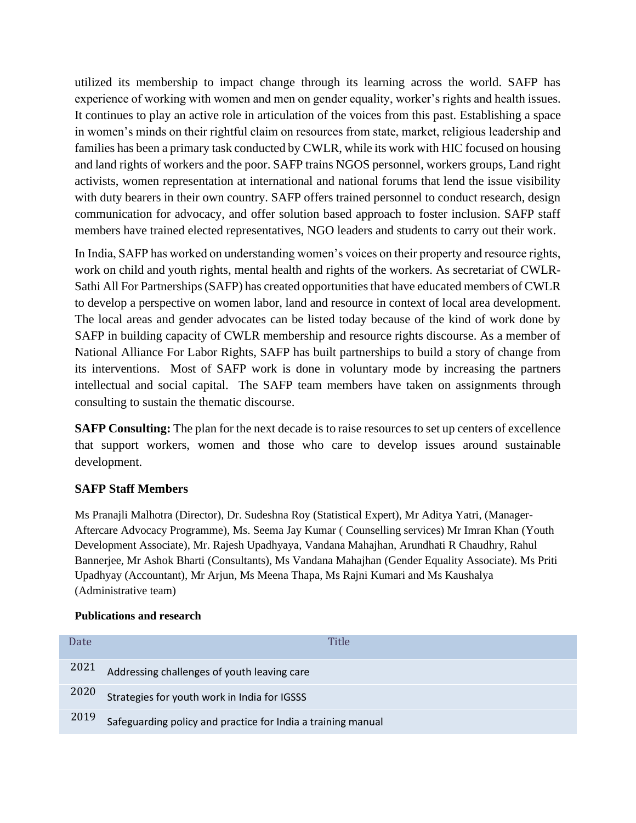utilized its membership to impact change through its learning across the world. SAFP has experience of working with women and men on gender equality, worker's rights and health issues. It continues to play an active role in articulation of the voices from this past. Establishing a space in women's minds on their rightful claim on resources from state, market, religious leadership and families has been a primary task conducted by CWLR, while its work with HIC focused on housing and land rights of workers and the poor. SAFP trains NGOS personnel, workers groups, Land right activists, women representation at international and national forums that lend the issue visibility with duty bearers in their own country. SAFP offers trained personnel to conduct research, design communication for advocacy, and offer solution based approach to foster inclusion. SAFP staff members have trained elected representatives, NGO leaders and students to carry out their work.

In India, SAFP has worked on understanding women's voices on their property and resource rights, work on child and youth rights, mental health and rights of the workers. As secretariat of CWLR-Sathi All For Partnerships (SAFP) has created opportunities that have educated members of CWLR to develop a perspective on women labor, land and resource in context of local area development. The local areas and gender advocates can be listed today because of the kind of work done by SAFP in building capacity of CWLR membership and resource rights discourse. As a member of National Alliance For Labor Rights, SAFP has built partnerships to build a story of change from its interventions. Most of SAFP work is done in voluntary mode by increasing the partners intellectual and social capital. The SAFP team members have taken on assignments through consulting to sustain the thematic discourse.

**SAFP Consulting:** The plan for the next decade is to raise resources to set up centers of excellence that support workers, women and those who care to develop issues around sustainable development.

# **SAFP Staff Members**

Ms Pranajli Malhotra (Director), Dr. Sudeshna Roy (Statistical Expert), Mr Aditya Yatri, (Manager-Aftercare Advocacy Programme), Ms. Seema Jay Kumar ( Counselling services) Mr Imran Khan (Youth Development Associate), Mr. Rajesh Upadhyaya, Vandana Mahajhan, Arundhati R Chaudhry, Rahul Bannerjee, Mr Ashok Bharti (Consultants), Ms Vandana Mahajhan (Gender Equality Associate). Ms Priti Upadhyay (Accountant), Mr Arjun, Ms Meena Thapa, Ms Rajni Kumari and Ms Kaushalya (Administrative team)

### **Publications and research**

| Date | Title                                                        |
|------|--------------------------------------------------------------|
|      | 2021 Addressing challenges of youth leaving care             |
| 2020 | Strategies for youth work in India for IGSSS                 |
| 2019 | Safeguarding policy and practice for India a training manual |